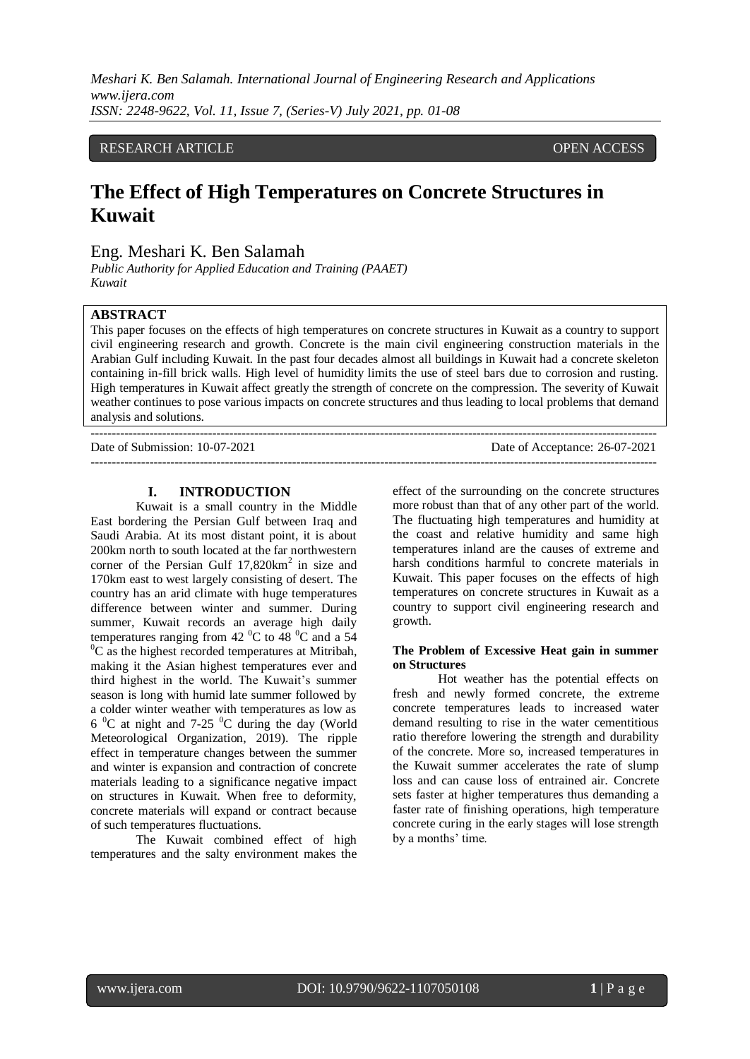# RESEARCH ARTICLE **CONTRACT ARTICLE**

# **The Effect of High Temperatures on Concrete Structures in Kuwait**

Eng. Meshari K. Ben Salamah

*Public Authority for Applied Education and Training (PAAET) Kuwait*

## **ABSTRACT**

This paper focuses on the effects of high temperatures on concrete structures in Kuwait as a country to support civil engineering research and growth. Concrete is the main civil engineering construction materials in the Arabian Gulf including Kuwait. In the past four decades almost all buildings in Kuwait had a concrete skeleton containing in-fill brick walls. High level of humidity limits the use of steel bars due to corrosion and rusting. High temperatures in Kuwait affect greatly the strength of concrete on the compression. The severity of Kuwait weather continues to pose various impacts on concrete structures and thus leading to local problems that demand analysis and solutions.

| Date of Submission: 10-07-2021 | Date of Acceptance: 26-07-2021 |
|--------------------------------|--------------------------------|
|                                |                                |

## **I. INTRODUCTION**

Kuwait is a small country in the Middle East bordering the Persian Gulf between Iraq and Saudi Arabia. At its most distant point, it is about 200km north to south located at the far northwestern corner of the Persian Gulf  $17,820 \text{km}^2$  in size and 170km east to west largely consisting of desert. The country has an arid climate with huge temperatures difference between winter and summer. During summer, Kuwait records an average high daily temperatures ranging from 42  $^{\circ}$ C to 48  $^{\circ}$ C and a 54  ${}^{0}C$  as the highest recorded temperatures at Mitribah, making it the Asian highest temperatures ever and third highest in the world. The Kuwait's summer season is long with humid late summer followed by a colder winter weather with temperatures as low as  $6^{\circ}$ C at night and 7-25  $^{\circ}$ C during the day (World Meteorological Organization, 2019). The ripple effect in temperature changes between the summer and winter is expansion and contraction of concrete materials leading to a significance negative impact on structures in Kuwait. When free to deformity, concrete materials will expand or contract because of such temperatures fluctuations.

The Kuwait combined effect of high temperatures and the salty environment makes the effect of the surrounding on the concrete structures more robust than that of any other part of the world. The fluctuating high temperatures and humidity at the coast and relative humidity and same high temperatures inland are the causes of extreme and harsh conditions harmful to concrete materials in Kuwait. This paper focuses on the effects of high temperatures on concrete structures in Kuwait as a country to support civil engineering research and growth.

### **The Problem of Excessive Heat gain in summer on Structures**

Hot weather has the potential effects on fresh and newly formed concrete, the extreme concrete temperatures leads to increased water demand resulting to rise in the water cementitious ratio therefore lowering the strength and durability of the concrete. More so, increased temperatures in the Kuwait summer accelerates the rate of slump loss and can cause loss of entrained air. Concrete sets faster at higher temperatures thus demanding a faster rate of finishing operations, high temperature concrete curing in the early stages will lose strength by a months' time.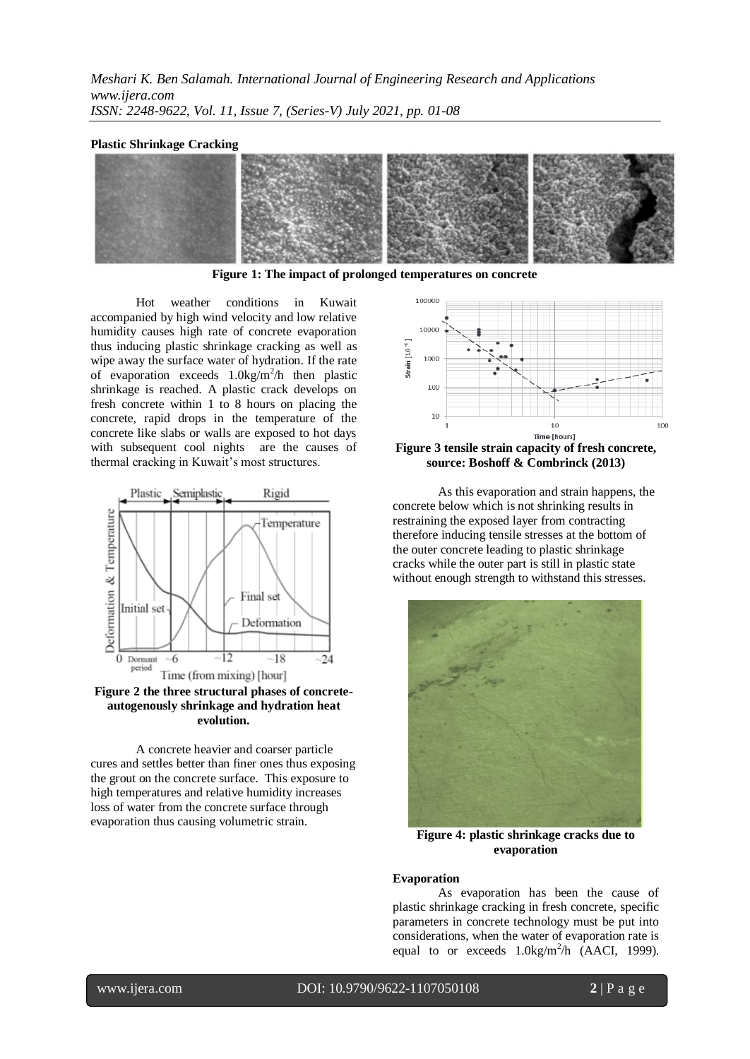#### **Plastic Shrinkage Cracking**



**Figure 1: The impact of prolonged temperatures on concrete**

Hot weather conditions in Kuwait accompanied by high wind velocity and low relative humidity causes high rate of concrete evaporation thus inducing plastic shrinkage cracking as well as wipe away the surface water of hydration. If the rate of evaporation exceeds  $1.0 \text{kg/m}^2/h$  then plastic shrinkage is reached. A plastic crack develops on fresh concrete within 1 to 8 hours on placing the concrete, rapid drops in the temperature of the concrete like slabs or walls are exposed to hot days with subsequent cool nights are the causes of thermal cracking in Kuwait's most structures.



**Figure 2 the three structural phases of concreteautogenously shrinkage and hydration heat evolution.**

A concrete heavier and coarser particle cures and settles better than finer ones thus exposing the grout on the concrete surface. This exposure to high temperatures and relative humidity increases loss of water from the concrete surface through evaporation thus causing volumetric strain.



**Figure 3 tensile strain capacity of fresh concrete, source: Boshoff & Combrinck (2013)**

As this evaporation and strain happens, the concrete below which is not shrinking results in restraining the exposed layer from contracting therefore inducing tensile stresses at the bottom of the outer concrete leading to plastic shrinkage cracks while the outer part is still in plastic state without enough strength to withstand this stresses.



**Figure 4: plastic shrinkage cracks due to evaporation**

#### **Evaporation**

As evaporation has been the cause of plastic shrinkage cracking in fresh concrete, specific parameters in concrete technology must be put into considerations, when the water of evaporation rate is equal to or exceeds  $1.0 \text{kg/m}^2/h$  (AACI, 1999).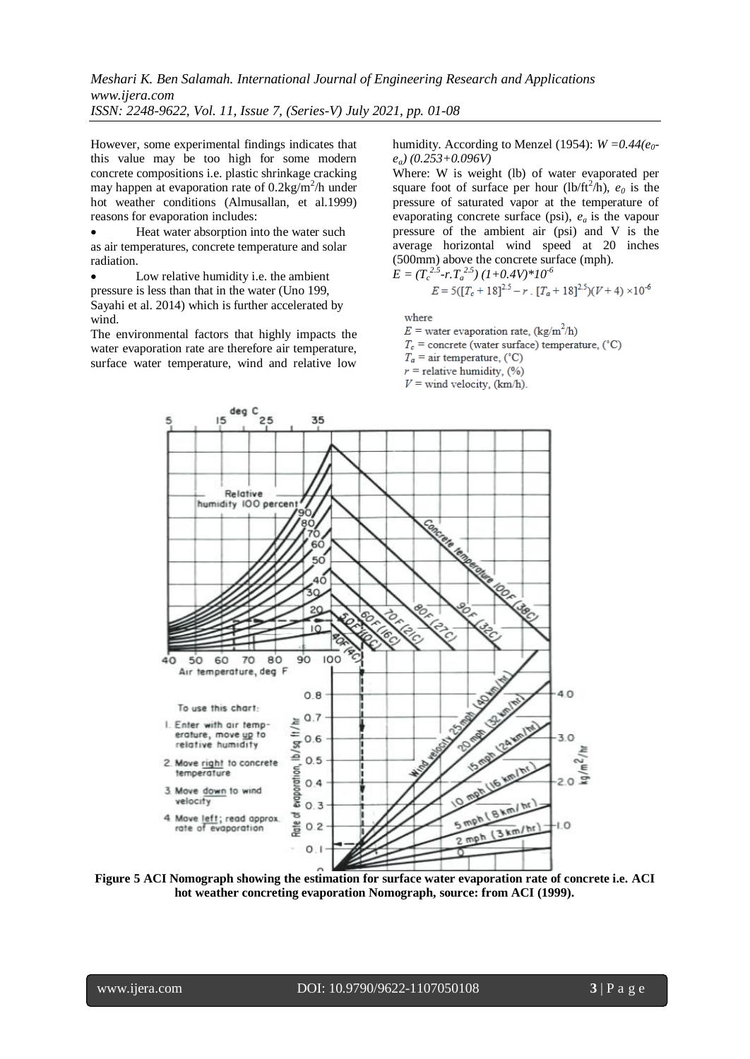However, some experimental findings indicates that this value may be too high for some modern concrete compositions i.e. plastic shrinkage cracking may happen at evaporation rate of  $0.2 \text{kg/m}^2/\text{h}$  under hot weather conditions (Almusallan, et al.1999) reasons for evaporation includes:

 Heat water absorption into the water such as air temperatures, concrete temperature and solar radiation.

 Low relative humidity i.e. the ambient pressure is less than that in the water (Uno 199, Sayahi et al. 2014) which is further accelerated by wind.

The environmental factors that highly impacts the water evaporation rate are therefore air temperature, surface water temperature, wind and relative low

humidity. According to Menzel (1954):  $W = 0.44(e_0$ *ea) (0.253+0.096V)*

Where: W is weight (lb) of water evaporated per square foot of surface per hour (lb/ft<sup>2</sup>/h),  $e_0$  is the pressure of saturated vapor at the temperature of evaporating concrete surface (psi), *ea* is the vapour pressure of the ambient air (psi) and V is the average horizontal wind speed at 20 inches (500mm) above the concrete surface (mph).

$$
E = (T_c^{2.5} - r \cdot T_a^{2.5}) (1 + 0.4V)^* 10^{-6}
$$
  

$$
E = 5([T_c + 18]^{2.5} - r \cdot [T_a + 18]^{2.5}) (V + 4) \times 10^{-6}
$$

where

 $E$  = water evaporation rate, (kg/m<sup>2</sup>/h)

 $T_c$  = concrete (water surface) temperature, (°C)

 $T_a$  = air temperature, (°C)

 $r =$  relative humidity, (%)  $V =$  wind velocity, (km/h).



**Figure 5 ACI Nomograph showing the estimation for surface water evaporation rate of concrete i.e. ACI hot weather concreting evaporation Nomograph, source: from ACI (1999).**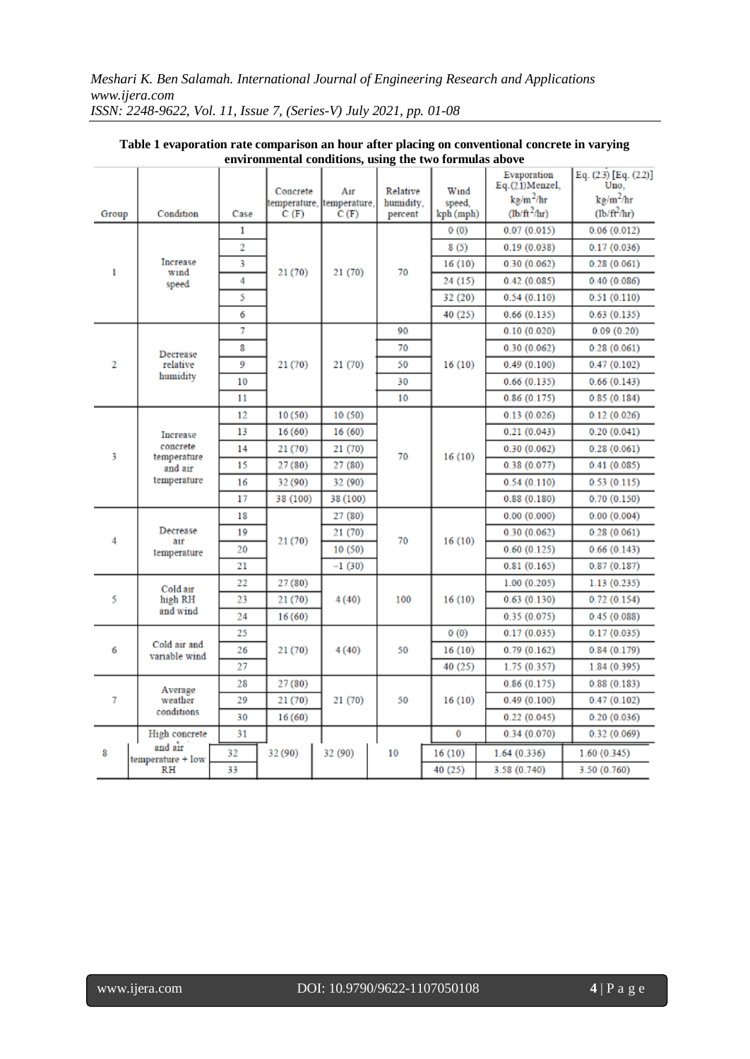|                |                                           |      | Concrete | Air                               | Relative             | Wind                | Evaporation<br>$Eq.(2.1)$ Menzel,<br>$k$ g/m <sup>2</sup> /hr | Eq. (2.3) [Eq. (2.2)]<br>Uno.<br>$k\frac{g}{m^2}$ hr |
|----------------|-------------------------------------------|------|----------|-----------------------------------|----------------------|---------------------|---------------------------------------------------------------|------------------------------------------------------|
| Group          | Condition                                 | Case | C(F)     | temperature, temperature,<br>C(F) | humidity.<br>percent | speed,<br>kph (mph) | $(\frac{\text{lb}}{\text{ft}^2/\text{hr}})$                   | $(lb/ft^2/hr)$                                       |
| 1              |                                           | 1    | 21(70)   | 21 (70)                           |                      | 0(0)                | 0.07(0.015)                                                   | 0.06(0.012)                                          |
|                | Increase<br>wind<br>speed                 | 2    |          |                                   | 70                   | 8(5)                | 0.19(0.038)                                                   | 0.17(0.036)                                          |
|                |                                           | 3    |          |                                   |                      | 16(10)              | 0.30(0.062)                                                   | 0.28(0.061)                                          |
|                |                                           | 4    |          |                                   |                      | 24 (15)             | 0.42(0.085)                                                   | 0.40(0.086)                                          |
|                |                                           | 5    |          |                                   |                      | 32 (20)             | 0.54(0.110)                                                   | 0.51(0.110)                                          |
|                |                                           | 6    |          |                                   |                      | 40 (25)             | 0.66(0.135)                                                   | 0.63(0.135)                                          |
| $\overline{2}$ |                                           | 7    |          | 21 (70)                           | 90                   |                     | 0.10(0.020)                                                   | 0.09(0.20)                                           |
|                | Decrease                                  | 8    |          |                                   | 70                   |                     | 0.30(0.062)                                                   | 0.28(0.061)                                          |
|                | relative                                  | 9    | 21 (70)  |                                   | 50                   | 16(10)              | 0.49(0.100)                                                   | 0.47(0.102)                                          |
|                | humidity                                  | 10   |          |                                   | 30                   |                     | 0.66(0.135)                                                   | 0.66(0.143)                                          |
|                |                                           | 11   |          |                                   | 10                   |                     | 0.86(0.175)                                                   | 0.85(0.184)                                          |
|                |                                           | 12   | 10(50)   | 10(50)                            |                      |                     | 0.13(0.026)                                                   | 0.12(0.026)                                          |
|                | Increase                                  | 13   | 16(60)   | 16(60)                            |                      |                     | 0.21(0.043)                                                   | 0.20(0.041)                                          |
|                | concrete                                  | 14   | 21(70)   | 21(70)                            |                      |                     | 0.30(0.062)                                                   | 0.28(0.061)                                          |
| 3              | temperature<br>and air                    | 15   | 27(80)   | 27(80)                            | 70                   | 16(10)              | 0.38(0.077)                                                   | 0.41(0.085)                                          |
|                | temperature                               | 16   | 32 (90)  | 32 (90)                           |                      |                     | 0.54(0.110)                                                   | 0.53(0.115)                                          |
|                |                                           | 17   | 38 (100) | 38 (100)                          |                      |                     | 0.88(0.180)                                                   | 0.70(0.150)                                          |
|                | Decrease<br>air<br>temperature            | 18   | 21 (70)  | 27(80)                            | 70                   | 16(10)              | 0.00(0.000)                                                   | 0.00(0.004)                                          |
|                |                                           | 19   |          | 21 (70)                           |                      |                     | 0.30(0.062)                                                   | 0.28(0.061)                                          |
| 4              |                                           | 20   |          | 10(50)                            |                      |                     | 0.60(0.125)                                                   | 0.66(0.143)                                          |
|                |                                           | 21   |          | $-1(30)$                          |                      |                     | 0.81(0.165)                                                   | 0.87(0.187)                                          |
|                | Cold air<br>high RH<br>and wind           | 22   | 27(80)   | 4(40)                             | 100                  | 16(10)              | 1.00(0.205)                                                   | 1.13(0.235)                                          |
| 5              |                                           | 23   | 21 (70)  |                                   |                      |                     | 0.63(0.130)                                                   | 0.72(0.154)                                          |
|                |                                           | 24   | 16(60)   |                                   |                      |                     | 0.35(0.075)                                                   | 0.45(0.088)                                          |
| 6              | Cold air and<br>variable wind             | 25   |          | 4(40)                             | 50                   | 0(0)                | 0.17(0.035)                                                   | 0.17(0.035)                                          |
|                |                                           | 26   | 21 (70)  |                                   |                      | 16(10)              | 0.79(0.162)                                                   | 0.84(0.179)                                          |
|                |                                           | 27   |          |                                   |                      | 40 (25)             | 1.75 (0.357)                                                  | 1.84(0.395)                                          |
| 7              | Average<br>weather<br>conditions          | 28   | 27(80)   | 21(70)                            | 50                   | 16(10)              | 0.86(0.175)                                                   | 0.88(0.183)                                          |
|                |                                           | 29   | 21(70)   |                                   |                      |                     | 0.49(0.100)                                                   | 0.47(0.102)                                          |
|                |                                           | 30   | 16(60)   |                                   |                      |                     | 0.22(0.045)                                                   | 0.20(0.036)                                          |
| 8              | High concrete                             | 31   |          |                                   |                      | 0                   | 0.34(0.070)                                                   | 0.32(0.069)                                          |
|                | and air<br>temperature + low<br><b>RH</b> | 32   | 32 (90)  | 32 (90)                           | 10                   | 16(10)              | 1.64(0.336)                                                   | 1.60(0.345)                                          |
|                |                                           | 33   |          |                                   |                      | 40 (25)             | 3.58 (0.740)                                                  | 3.50 (0.760)                                         |

#### **Table 1 evaporation rate comparison an hour after placing on conventional concrete in varying environmental conditions, using the two formulas above** Ť.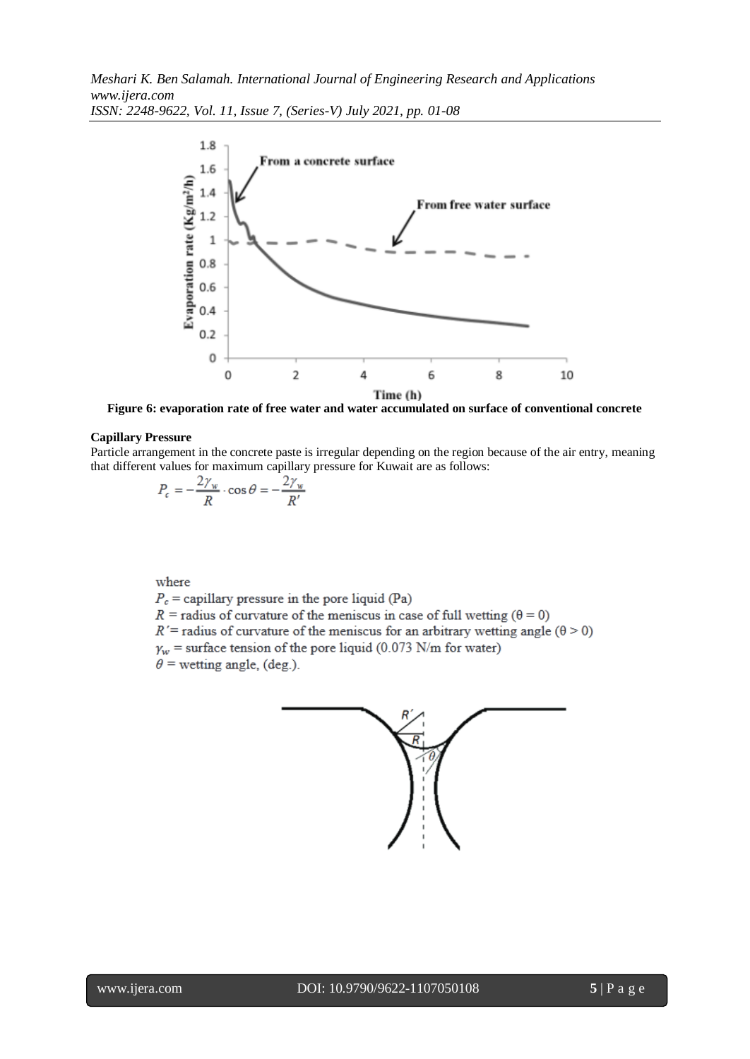

**Figure 6: evaporation rate of free water and water accumulated on surface of conventional concrete**

## **Capillary Pressure**

Particle arrangement in the concrete paste is irregular depending on the region because of the air entry, meaning that different values for maximum capillary pressure for Kuwait are as follows:

$$
P_c = -\frac{2\gamma_w}{R} \cdot \cos\theta = -\frac{2\gamma_w}{R'}
$$

where

 $P_c$  = capillary pressure in the pore liquid (Pa)

 $R$  = radius of curvature of the meniscus in case of full wetting ( $\theta$  = 0)

 $R'$  = radius of curvature of the meniscus for an arbitrary wetting angle ( $\theta$  > 0)

 $\gamma_w$  = surface tension of the pore liquid (0.073 N/m for water)

 $\theta$  = wetting angle, (deg.).

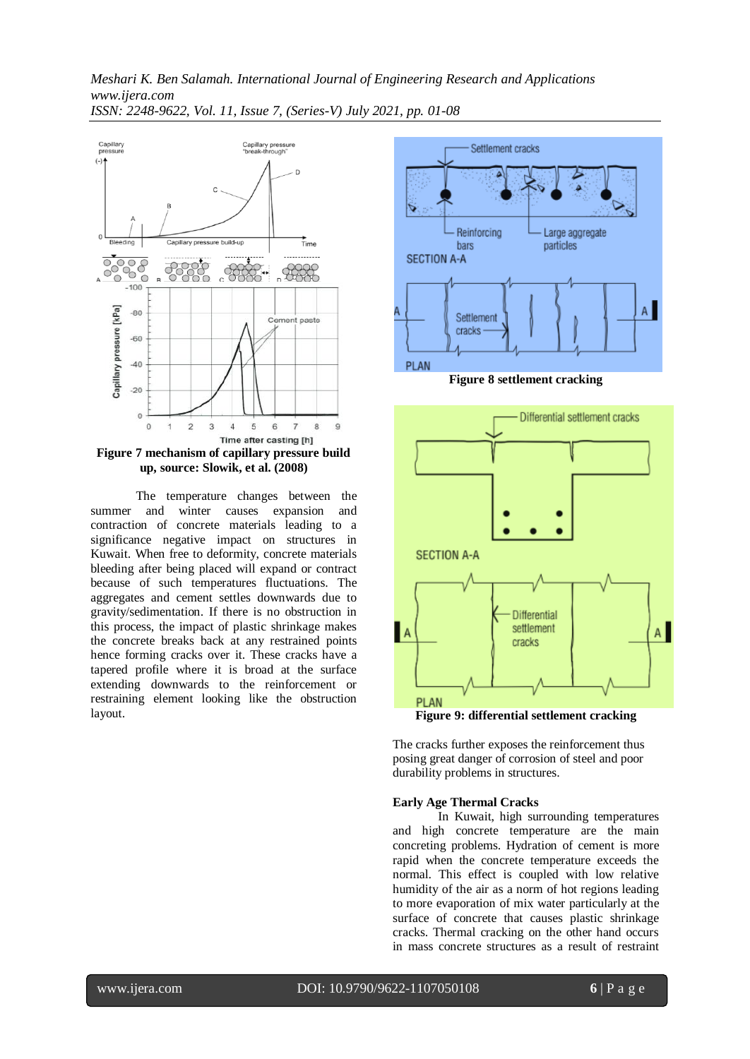

The temperature changes between the summer and winter causes expansion and contraction of concrete materials leading to a significance negative impact on structures in Kuwait. When free to deformity, concrete materials bleeding after being placed will expand or contract because of such temperatures fluctuations. The aggregates and cement settles downwards due to gravity/sedimentation. If there is no obstruction in this process, the impact of plastic shrinkage makes the concrete breaks back at any restrained points hence forming cracks over it. These cracks have a tapered profile where it is broad at the surface extending downwards to the reinforcement or restraining element looking like the obstruction layout.



The cracks further exposes the reinforcement thus posing great danger of corrosion of steel and poor durability problems in structures.

## **Early Age Thermal Cracks**

In Kuwait, high surrounding temperatures and high concrete temperature are the main concreting problems. Hydration of cement is more rapid when the concrete temperature exceeds the normal. This effect is coupled with low relative humidity of the air as a norm of hot regions leading to more evaporation of mix water particularly at the surface of concrete that causes plastic shrinkage cracks. Thermal cracking on the other hand occurs in mass concrete structures as a result of restraint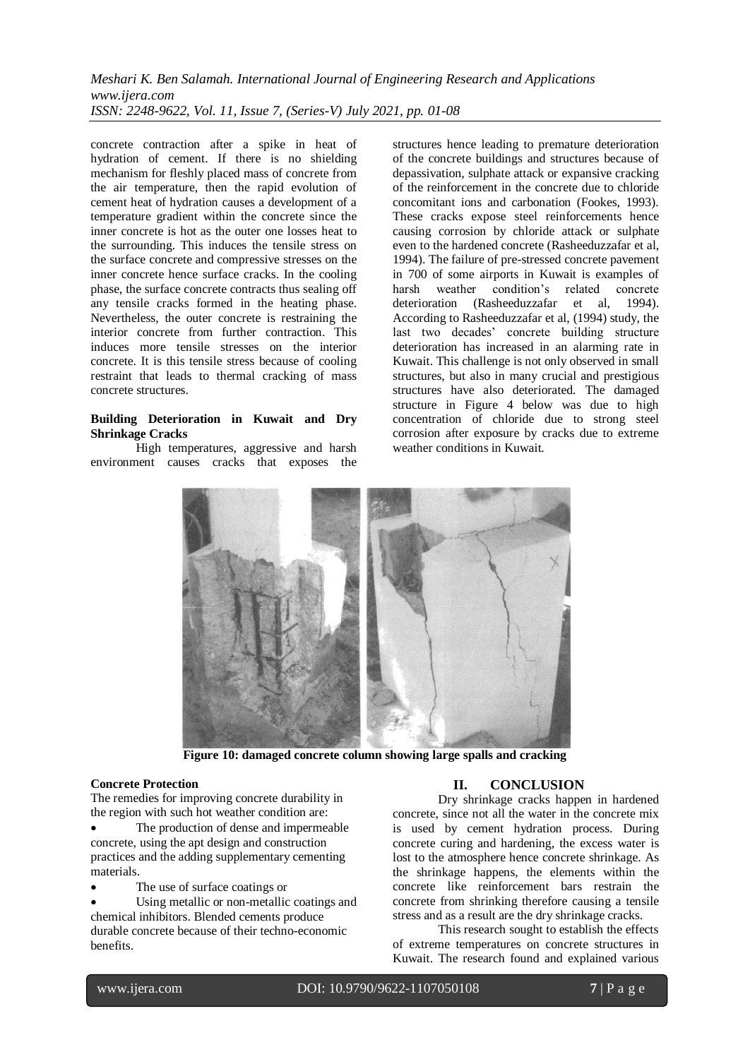concrete contraction after a spike in heat of hydration of cement. If there is no shielding mechanism for fleshly placed mass of concrete from the air temperature, then the rapid evolution of cement heat of hydration causes a development of a temperature gradient within the concrete since the inner concrete is hot as the outer one losses heat to the surrounding. This induces the tensile stress on the surface concrete and compressive stresses on the inner concrete hence surface cracks. In the cooling phase, the surface concrete contracts thus sealing off any tensile cracks formed in the heating phase. Nevertheless, the outer concrete is restraining the interior concrete from further contraction. This induces more tensile stresses on the interior concrete. It is this tensile stress because of cooling restraint that leads to thermal cracking of mass concrete structures.

## **Building Deterioration in Kuwait and Dry Shrinkage Cracks**

High temperatures, aggressive and harsh environment causes cracks that exposes the structures hence leading to premature deterioration of the concrete buildings and structures because of depassivation, sulphate attack or expansive cracking of the reinforcement in the concrete due to chloride concomitant ions and carbonation (Fookes, 1993). These cracks expose steel reinforcements hence causing corrosion by chloride attack or sulphate even to the hardened concrete (Rasheeduzzafar et al, 1994). The failure of pre-stressed concrete pavement in 700 of some airports in Kuwait is examples of harsh weather condition's related concrete deterioration (Rasheeduzzafar et al, 1994). According to Rasheeduzzafar et al, (1994) study, the last two decades' concrete building structure deterioration has increased in an alarming rate in Kuwait. This challenge is not only observed in small structures, but also in many crucial and prestigious structures have also deteriorated. The damaged structure in Figure 4 below was due to high concentration of chloride due to strong steel corrosion after exposure by cracks due to extreme weather conditions in Kuwait.



**Figure 10: damaged concrete column showing large spalls and cracking**

## **Concrete Protection**

The remedies for improving concrete durability in the region with such hot weather condition are:

 The production of dense and impermeable concrete, using the apt design and construction practices and the adding supplementary cementing materials.

- The use of surface coatings or
- Using metallic or non-metallic coatings and chemical inhibitors. Blended cements produce durable concrete because of their techno-economic benefits.

# **II. CONCLUSION**

Dry shrinkage cracks happen in hardened concrete, since not all the water in the concrete mix is used by cement hydration process. During concrete curing and hardening, the excess water is lost to the atmosphere hence concrete shrinkage. As the shrinkage happens, the elements within the concrete like reinforcement bars restrain the concrete from shrinking therefore causing a tensile stress and as a result are the dry shrinkage cracks.

This research sought to establish the effects of extreme temperatures on concrete structures in Kuwait. The research found and explained various